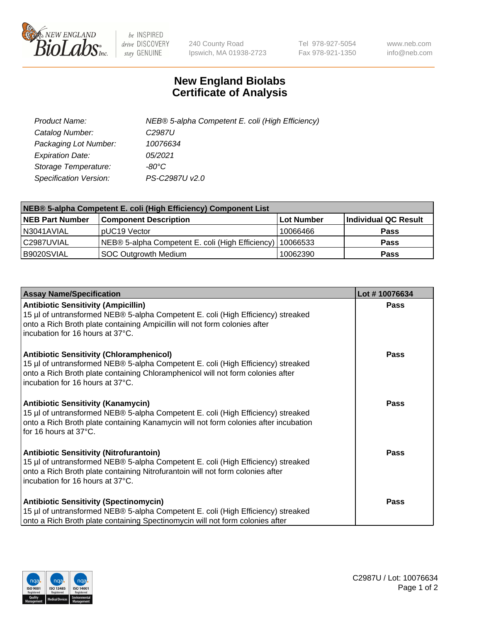

 $be$  INSPIRED drive DISCOVERY stay GENUINE

240 County Road Ipswich, MA 01938-2723 Tel 978-927-5054 Fax 978-921-1350 www.neb.com info@neb.com

## **New England Biolabs Certificate of Analysis**

| Product Name:                 | NEB® 5-alpha Competent E. coli (High Efficiency) |
|-------------------------------|--------------------------------------------------|
| Catalog Number:               | C <sub>2987</sub> U                              |
| Packaging Lot Number:         | 10076634                                         |
| <b>Expiration Date:</b>       | 05/2021                                          |
| Storage Temperature:          | -80°C                                            |
| <b>Specification Version:</b> | PS-C2987U v2.0                                   |

| NEB® 5-alpha Competent E. coli (High Efficiency) Component List |                                                  |            |                      |  |
|-----------------------------------------------------------------|--------------------------------------------------|------------|----------------------|--|
| <b>NEB Part Number</b>                                          | <b>Component Description</b>                     | Lot Number | Individual QC Result |  |
| N3041AVIAL                                                      | pUC19 Vector                                     | 10066466   | <b>Pass</b>          |  |
| C2987UVIAL                                                      | NEB® 5-alpha Competent E. coli (High Efficiency) | 10066533   | <b>Pass</b>          |  |
| B9020SVIAL                                                      | <b>SOC Outgrowth Medium</b>                      | 10062390   | <b>Pass</b>          |  |

| <b>Assay Name/Specification</b>                                                                                                                                                                                                                            | Lot #10076634 |
|------------------------------------------------------------------------------------------------------------------------------------------------------------------------------------------------------------------------------------------------------------|---------------|
| <b>Antibiotic Sensitivity (Ampicillin)</b><br>15 µl of untransformed NEB® 5-alpha Competent E. coli (High Efficiency) streaked<br>onto a Rich Broth plate containing Ampicillin will not form colonies after<br>incubation for 16 hours at 37°C.           | Pass          |
| <b>Antibiotic Sensitivity (Chloramphenicol)</b><br>15 µl of untransformed NEB® 5-alpha Competent E. coli (High Efficiency) streaked<br>onto a Rich Broth plate containing Chloramphenicol will not form colonies after<br>incubation for 16 hours at 37°C. | Pass          |
| <b>Antibiotic Sensitivity (Kanamycin)</b><br>15 µl of untransformed NEB® 5-alpha Competent E. coli (High Efficiency) streaked<br>onto a Rich Broth plate containing Kanamycin will not form colonies after incubation<br>for 16 hours at 37°C.             | Pass          |
| <b>Antibiotic Sensitivity (Nitrofurantoin)</b><br>15 µl of untransformed NEB® 5-alpha Competent E. coli (High Efficiency) streaked<br>onto a Rich Broth plate containing Nitrofurantoin will not form colonies after<br>incubation for 16 hours at 37°C.   | <b>Pass</b>   |
| <b>Antibiotic Sensitivity (Spectinomycin)</b><br>15 µl of untransformed NEB® 5-alpha Competent E. coli (High Efficiency) streaked<br>onto a Rich Broth plate containing Spectinomycin will not form colonies after                                         | Pass          |